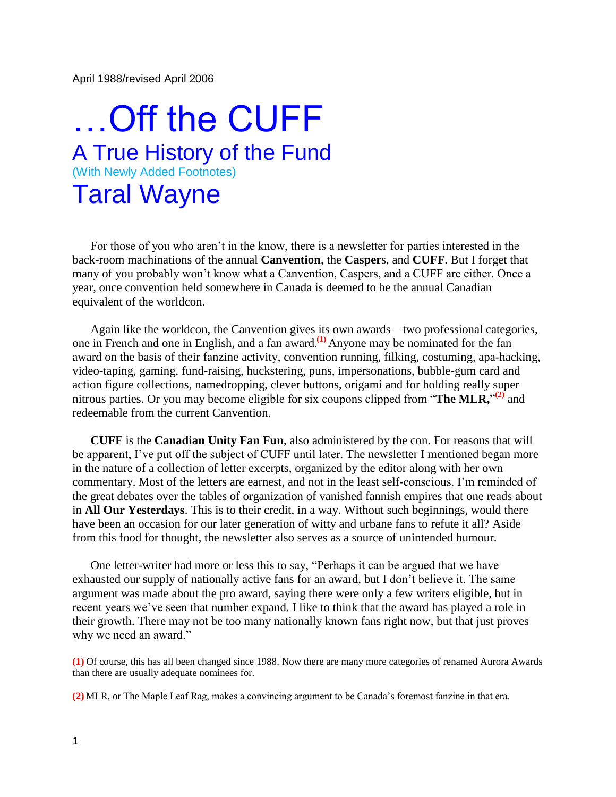April 1988/revised April 2006

## …Off the CUFF A True History of the Fund (With Newly Added Footnotes) Taral Wayne

 For those of you who aren't in the know, there is a newsletter for parties interested in the back-room machinations of the annual **Canvention**, the **Casper**s, and **CUFF**. But I forget that many of you probably won't know what a Canvention, Caspers, and a CUFF are either. Once a year, once convention held somewhere in Canada is deemed to be the annual Canadian equivalent of the worldcon.

 Again like the worldcon, the Canvention gives its own awards – two professional categories, one in French and one in English, and a fan award. **(1)** Anyone may be nominated for the fan award on the basis of their fanzine activity, convention running, filking, costuming, apa-hacking, video-taping, gaming, fund-raising, huckstering, puns, impersonations, bubble-gum card and action figure collections, namedropping, clever buttons, origami and for holding really super nitrous parties. Or you may become eligible for six coupons clipped from "**The MLR**,"<sup>(2)</sup> and redeemable from the current Canvention.

 **CUFF** is the **Canadian Unity Fan Fun**, also administered by the con. For reasons that will be apparent, I've put off the subject of CUFF until later. The newsletter I mentioned began more in the nature of a collection of letter excerpts, organized by the editor along with her own commentary. Most of the letters are earnest, and not in the least self-conscious. I'm reminded of the great debates over the tables of organization of vanished fannish empires that one reads about in **All Our Yesterdays**. This is to their credit, in a way. Without such beginnings, would there have been an occasion for our later generation of witty and urbane fans to refute it all? Aside from this food for thought, the newsletter also serves as a source of unintended humour.

 One letter-writer had more or less this to say, "Perhaps it can be argued that we have exhausted our supply of nationally active fans for an award, but I don't believe it. The same argument was made about the pro award, saying there were only a few writers eligible, but in recent years we've seen that number expand. I like to think that the award has played a role in their growth. There may not be too many nationally known fans right now, but that just proves why we need an award."

**(1)** Of course, this has all been changed since 1988. Now there are many more categories of renamed Aurora Awards than there are usually adequate nominees for.

**(2)** MLR, or The Maple Leaf Rag, makes a convincing argument to be Canada's foremost fanzine in that era.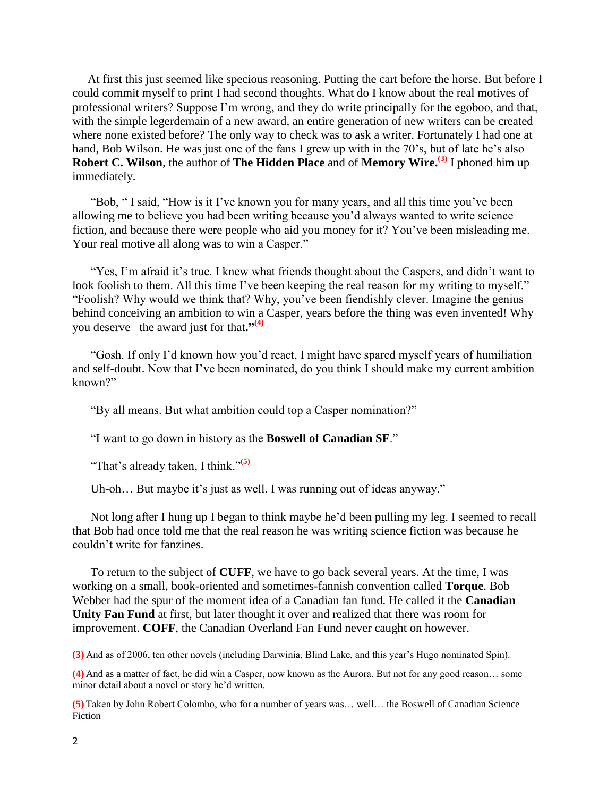At first this just seemed like specious reasoning. Putting the cart before the horse. But before I could commit myself to print I had second thoughts. What do I know about the real motives of professional writers? Suppose I'm wrong, and they do write principally for the egoboo, and that, with the simple legerdemain of a new award, an entire generation of new writers can be created where none existed before? The only way to check was to ask a writer. Fortunately I had one at hand, Bob Wilson. He was just one of the fans I grew up with in the 70's, but of late he's also **Robert C. Wilson**, the author of **The Hidden Place** and of **Memory Wire. (3)** I phoned him up immediately.

 "Bob, " I said, "How is it I've known you for many years, and all this time you've been allowing me to believe you had been writing because you'd always wanted to write science fiction, and because there were people who aid you money for it? You've been misleading me. Your real motive all along was to win a Casper."

 "Yes, I'm afraid it's true. I knew what friends thought about the Caspers, and didn't want to look foolish to them. All this time I've been keeping the real reason for my writing to myself." "Foolish? Why would we think that? Why, you've been fiendishly clever. Imagine the genius behind conceiving an ambition to win a Casper, years before the thing was even invented! Why you deserve the award just for that**."(4)**

 "Gosh. If only I'd known how you'd react, I might have spared myself years of humiliation and self-doubt. Now that I've been nominated, do you think I should make my current ambition known?"

"By all means. But what ambition could top a Casper nomination?"

"I want to go down in history as the **Boswell of Canadian SF**."

"That's already taken, I think."**(5)**

Uh-oh... But maybe it's just as well. I was running out of ideas anyway."

 Not long after I hung up I began to think maybe he'd been pulling my leg. I seemed to recall that Bob had once told me that the real reason he was writing science fiction was because he couldn't write for fanzines.

 To return to the subject of **CUFF**, we have to go back several years. At the time, I was working on a small, book-oriented and sometimes-fannish convention called **Torque**. Bob Webber had the spur of the moment idea of a Canadian fan fund. He called it the **Canadian Unity Fan Fund** at first, but later thought it over and realized that there was room for improvement. **COFF**, the Canadian Overland Fan Fund never caught on however.

**(3)** And as of 2006, ten other novels (including Darwinia, Blind Lake, and this year's Hugo nominated Spin).

**(4)** And as a matter of fact, he did win a Casper, now known as the Aurora. But not for any good reason… some minor detail about a novel or story he'd written.

**(5)** Taken by John Robert Colombo, who for a number of years was… well… the Boswell of Canadian Science Fiction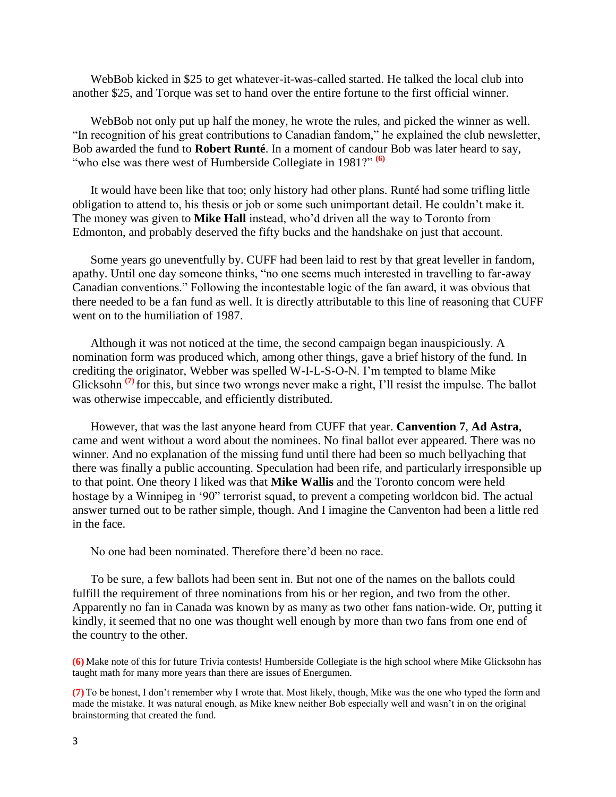WebBob kicked in \$25 to get whatever-it-was-called started. He talked the local club into another \$25, and Torque was set to hand over the entire fortune to the first official winner.

 WebBob not only put up half the money, he wrote the rules, and picked the winner as well. "In recognition of his great contributions to Canadian fandom," he explained the club newsletter, Bob awarded the fund to **Robert Runté**. In a moment of candour Bob was later heard to say, "who else was there west of Humberside Collegiate in 1981?" **(6)**

 It would have been like that too; only history had other plans. Runté had some trifling little obligation to attend to, his thesis or job or some such unimportant detail. He couldn't make it. The money was given to **Mike Hall** instead, who'd driven all the way to Toronto from Edmonton, and probably deserved the fifty bucks and the handshake on just that account.

 Some years go uneventfully by. CUFF had been laid to rest by that great leveller in fandom, apathy. Until one day someone thinks, "no one seems much interested in travelling to far-away Canadian conventions." Following the incontestable logic of the fan award, it was obvious that there needed to be a fan fund as well. It is directly attributable to this line of reasoning that CUFF went on to the humiliation of 1987.

 Although it was not noticed at the time, the second campaign began inauspiciously. A nomination form was produced which, among other things, gave a brief history of the fund. In crediting the originator, Webber was spelled W-I-L-S-O-N. I'm tempted to blame Mike Glicksohn<sup>(7)</sup> for this, but since two wrongs never make a right, I'll resist the impulse. The ballot was otherwise impeccable, and efficiently distributed.

 However, that was the last anyone heard from CUFF that year. **Canvention 7**, **Ad Astra**, came and went without a word about the nominees. No final ballot ever appeared. There was no winner. And no explanation of the missing fund until there had been so much bellyaching that there was finally a public accounting. Speculation had been rife, and particularly irresponsible up to that point. One theory I liked was that **Mike Wallis** and the Toronto concom were held hostage by a Winnipeg in '90" terrorist squad, to prevent a competing worldcon bid. The actual answer turned out to be rather simple, though. And I imagine the Canventon had been a little red in the face.

No one had been nominated. Therefore there'd been no race.

 To be sure, a few ballots had been sent in. But not one of the names on the ballots could fulfill the requirement of three nominations from his or her region, and two from the other. Apparently no fan in Canada was known by as many as two other fans nation-wide. Or, putting it kindly, it seemed that no one was thought well enough by more than two fans from one end of the country to the other.

**(6)** Make note of this for future Trivia contests! Humberside Collegiate is the high school where Mike Glicksohn has taught math for many more years than there are issues of Energumen.

**(7)** To be honest, I don't remember why I wrote that. Most likely, though, Mike was the one who typed the form and made the mistake. It was natural enough, as Mike knew neither Bob especially well and wasn't in on the original brainstorming that created the fund.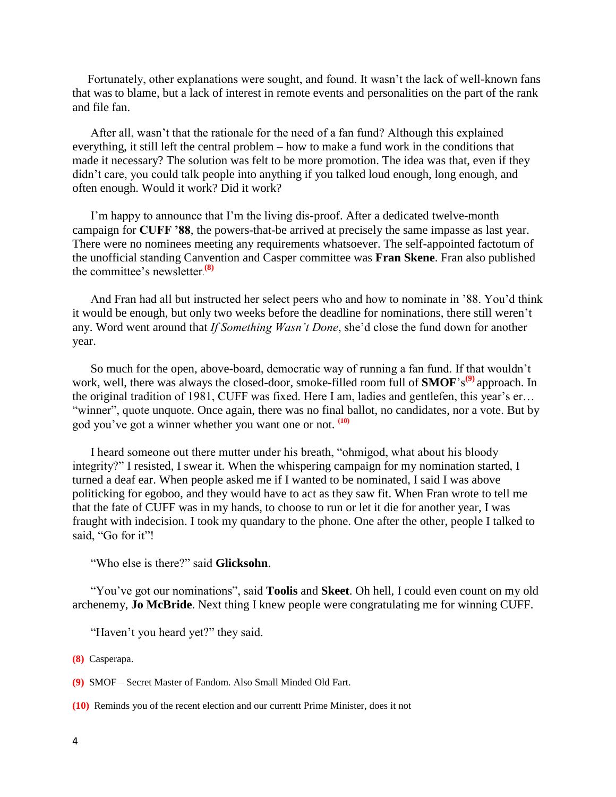Fortunately, other explanations were sought, and found. It wasn't the lack of well-known fans that was to blame, but a lack of interest in remote events and personalities on the part of the rank and file fan.

 After all, wasn't that the rationale for the need of a fan fund? Although this explained everything, it still left the central problem – how to make a fund work in the conditions that made it necessary? The solution was felt to be more promotion. The idea was that, even if they didn't care, you could talk people into anything if you talked loud enough, long enough, and often enough. Would it work? Did it work?

 I'm happy to announce that I'm the living dis-proof. After a dedicated twelve-month campaign for **CUFF '88**, the powers-that-be arrived at precisely the same impasse as last year. There were no nominees meeting any requirements whatsoever. The self-appointed factotum of the unofficial standing Canvention and Casper committee was **Fran Skene**. Fran also published the committee's newsletter. **(8)**

 And Fran had all but instructed her select peers who and how to nominate in '88. You'd think it would be enough, but only two weeks before the deadline for nominations, there still weren't any. Word went around that *If Something Wasn't Done*, she'd close the fund down for another year.

 So much for the open, above-board, democratic way of running a fan fund. If that wouldn't work, well, there was always the closed-door, smoke-filled room full of **SMOF**'s<sup>(9)</sup> approach. In the original tradition of 1981, CUFF was fixed. Here I am, ladies and gentlefen, this year's er… "winner", quote unquote. Once again, there was no final ballot, no candidates, nor a vote. But by god you've got a winner whether you want one or not. **(10)**

 I heard someone out there mutter under his breath, "ohmigod, what about his bloody integrity?" I resisted, I swear it. When the whispering campaign for my nomination started, I turned a deaf ear. When people asked me if I wanted to be nominated, I said I was above politicking for egoboo, and they would have to act as they saw fit. When Fran wrote to tell me that the fate of CUFF was in my hands, to choose to run or let it die for another year, I was fraught with indecision. I took my quandary to the phone. One after the other, people I talked to said, "Go for it"!

"Who else is there?" said **Glicksohn**.

 "You've got our nominations", said **Toolis** and **Skeet**. Oh hell, I could even count on my old archenemy, **Jo McBride**. Next thing I knew people were congratulating me for winning CUFF.

"Haven't you heard yet?" they said.

**(8)** Casperapa.

**(9)** SMOF – Secret Master of Fandom. Also Small Minded Old Fart.

**(10)** Reminds you of the recent election and our currentt Prime Minister, does it not